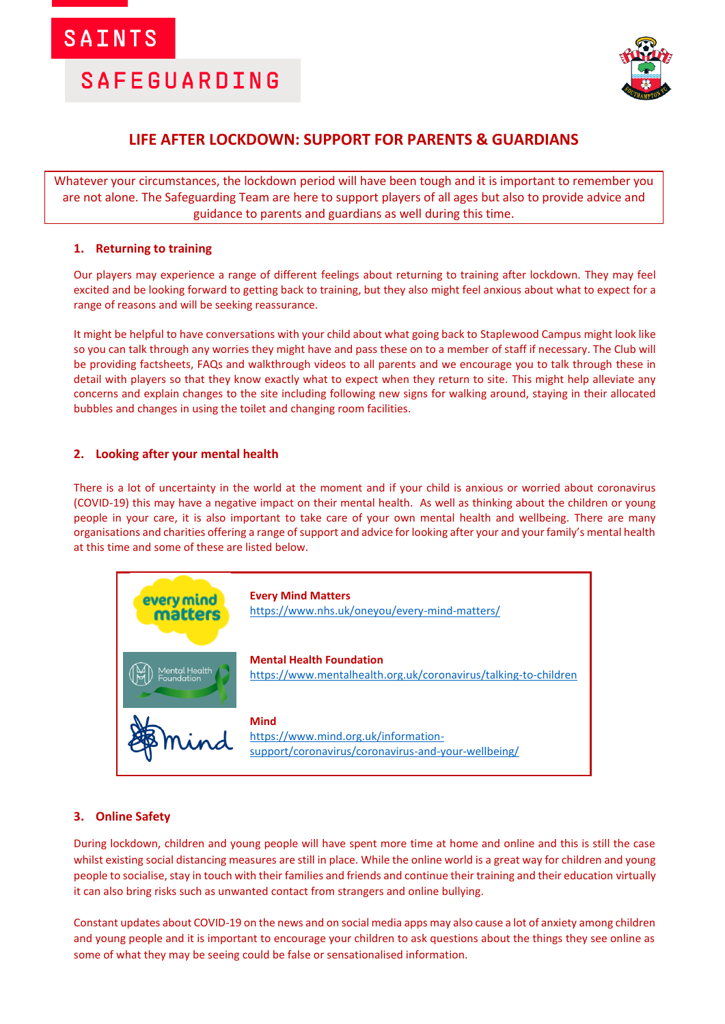

## **LIFE AFTER LOCKDOWN: SUPPORT FOR PARENTS & GUARDIANS**

Whatever your circumstances, the lockdown period will have been tough and it is important to remember you are not alone. The Safeguarding Team are here to support players of all ages but also to provide advice and guidance to parents and guardians as well during this time.

## **1. Returning to training**

Our players may experience a range of different feelings about returning to training after lockdown. They may feel excited and be looking forward to getting back to training, but they also might feel anxious about what to expect for a range of reasons and will be seeking reassurance.

It might be helpful to have conversations with your child about what going back to Staplewood Campus might look like so you can talk through any worries they might have and pass these on to a member of staff if necessary. The Club will be providing factsheets, FAQs and walkthrough videos to all parents and we encourage you to talk through these in detail with players so that they know exactly what to expect when they return to site. This might help alleviate any concerns and explain changes to the site including following new signs for walking around, staying in their allocated bubbles and changes in using the toilet and changing room facilities.

### **2. Looking after your mental health**

There is a lot of uncertainty in the world at the moment and if your child is anxious or worried about coronavirus (COVID-19) this may have a negative impact on their mental health. As well as thinking about the children or young people in your care, it is also important to take care of your own mental health and wellbeing. There are many organisations and charities offering a range of support and advice for looking after your and your family's mental health at this time and some of these are listed below.



## **3. Online Safety**

During lockdown, children and young people will have spent more time at home and online and this is still the case whilst existing social distancing measures are still in place. While the online world is a great way for children and young people to socialise, stay in touch with their families and friends and continue their training and their education virtually it can also bring risks such as unwanted contact from strangers and online bullying.

Constant updates about COVID-19 on the news and on social media apps may also cause a lot of anxiety among children and young people and it is important to encourage your children to ask questions about the things they see online as some of what they may be seeing could be false or sensationalised information.